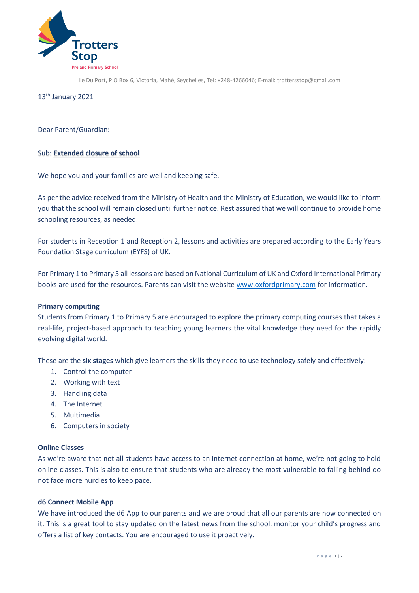

Ile Du Port, P O Box 6, Victoria, Mahé, Seychelles, Tel: +248-4266046; E-mail[: trottersstop@gmail.com](mailto:trottersstop@gmail.com)

13<sup>th</sup> January 2021

Dear Parent/Guardian:

## Sub: **Extended closure of school**

We hope you and your families are well and keeping safe.

As per the advice received from the Ministry of Health and the Ministry of Education, we would like to inform you that the school will remain closed until further notice. Rest assured that we will continue to provide home schooling resources, as needed.

For students in Reception 1 and Reception 2, lessons and activities are prepared according to the Early Years Foundation Stage curriculum (EYFS) of UK.

For Primary 1 to Primary 5 all lessons are based on National Curriculum of UK and Oxford International Primary books are used for the resources. Parents can visit the website [www.oxfordprimary.com](http://www.oxfordprimary.com/) for information.

## **Primary computing**

Students from Primary 1 to Primary 5 are encouraged to explore the primary computing courses that takes a real-life, project-based approach to teaching young learners the vital knowledge they need for the rapidly evolving digital world.

These are the **six stages** which give learners the skills they need to use technology safely and effectively:

- 1. Control the computer
- 2. Working with text
- 3. Handling data
- 4. The Internet
- 5. Multimedia
- 6. Computers in society

## **Online Classes**

As we're aware that not all students have access to an internet connection at home, we're not going to hold online classes. This is also to ensure that students who are already the most vulnerable to falling behind do not face more hurdles to keep pace.

## **d6 Connect Mobile App**

We have introduced the d6 App to our parents and we are proud that all our parents are now connected on it. This is a great tool to stay updated on the latest news from the school, monitor your child's progress and offers a list of key contacts. You are encouraged to use it proactively.